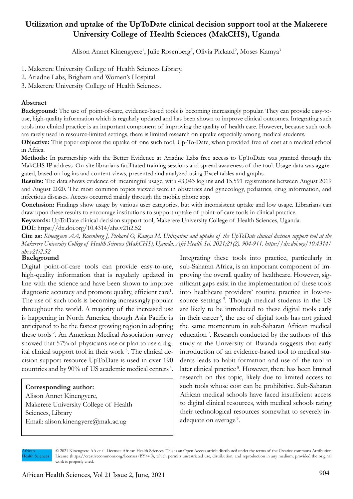# **Utilization and uptake of the UpToDate clinical decision support tool at the Makerere University College of Health Sciences (MakCHS), Uganda**

Alison Annet Kinengyere<sup>1</sup>, Julie Rosenberg<sup>2</sup>, Olivia Pickard<sup>2</sup>, Moses Kamya<sup>3</sup>

1. Makerere University College of Health Sciences Library.

2. Ariadne Labs, Brigham and Women's Hospital

3. Makerere University College of Health Sciences.

# **Abstract**

**Background:** The use of point-of-care, evidence-based tools is becoming increasingly popular. They can provide easy-touse, high-quality information which is regularly updated and has been shown to improve clinical outcomes. Integrating such tools into clinical practice is an important component of improving the quality of health care. However, because such tools are rarely used in resource-limited settings, there is limited research on uptake especially among medical students.

**Objective:** This paper explores the uptake of one such tool, Up-To-Date, when provided free of cost at a medical school in Africa.

**Methods:** In partnership with the Better Evidence at Ariadne Labs free access to UpToDate was granted through the MakCHS IP address. On-site librarians facilitated training sessions and spread awareness of the tool. Usage data was aggregated, based on log ins and content views, presented and analyzed using Excel tables and graphs.

**Results:** The data shows evidence of meaningful usage, with 43,043 log ins and 15,591 registrations between August 2019 and August 2020. The most common topics viewed were in obstetrics and gynecology, pediatrics, drug information, and infectious diseases. Access occurred mainly through the mobile phone app.

**Conclusion:** Findings show usage by various user categories, but with inconsistent uptake and low usage. Librarians can draw upon these results to encourage institutions to support uptake of point-of-care tools in clinical practice.

**Keywords:** UpToDate clinical decision support tool, Makerere University College of Health Sciences, Uganda.

**DOI:** https://dx.doi.org/10.4314/ahs.v21i2.52

**Cite as:** *Kinengyere AA, Rosenberg J, Pickard O, Kamya M. Utilization and uptake of the UpToDate clinical decision support tool at the Makerere University College of Health Sciences (MakCHS), Uganda. Afri Health Sci. 2021;21(2). 904-911. https://dx.doi.org/10.4314/ ahs.v21i2.52*

### **Background**

Digital point-of-care tools can provide easy-to-use, high-quality information that is regularly updated in line with the science and have been shown to improve diagnostic accuracy and promote quality, efficient care<sup>1</sup>. The use of such tools is becoming increasingly popular throughout the world. A majority of the increased use is happening in North America, though Asia Pacific is anticipated to be the fastest growing region in adopting these tools 2. An American Medical Association survey showed that 57% of physicians use or plan to use a digital clinical support tool in their work<sup>3</sup>. The clinical decision support resource UpToDate is used in over 190 countries and by 90% of US academic medical centers 4.

# **Corresponding author:**

Alison Annet Kinengyere, Makerere University College of Health Sciences, Library Email: alison.kinengyere@mak.ac.ug

Integrating these tools into practice, particularly in sub-Saharan Africa, is an important component of improving the overall quality of healthcare. However, significant gaps exist in the implementation of these tools into healthcare providers' routine practice in low-resource settings<sup>5</sup>. Though medical students in the US are likely to be introduced to these digital tools early in their career 6, the use of digital tools has not gained the same momentum in sub-Saharan African medical education 7. Research conducted by the authors of this study at the University of Rwanda suggests that early introduction of an evidence-based tool to medical students leads to habit formation and use of the tool in later clinical practice 8. However, there has been limited research on this topic, likely due to limited access to such tools whose cost can be prohibitive. Sub-Saharan African medical schools have faced insufficient access to digital clinical resources, with medical schools rating their technological resources somewhat to severely inadequate on average<sup>9</sup>.

African Health Sciences

<sup>© 2021</sup> Kinengyere AA et al. Licensee African Health Sciences. This is an Open Access article distributed under the terms of the Creative commons Attribution License (https://creativecommons.org/licenses/BY/4.0), which permits unrestricted use, distribution, and reproduction in any medium, provided the original work is properly cited.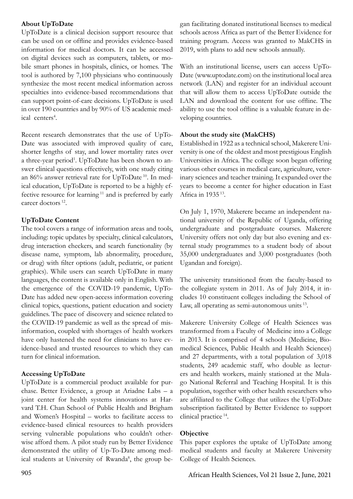### **About UpToDate**

UpToDate is a clinical decision support resource that can be used on or offline and provides evidence-based information for medical doctors. It can be accessed on digital devices such as computers, tablets, or mobile smart phones in hospitals, clinics, or homes. The tool is authored by 7,100 physicians who continuously synthesize the most recent medical information across specialties into evidence-based recommendations that can support point-of-care decisions. UpToDate is used in over 190 countries and by 90% of US academic medical centers<sup>4</sup>.

Recent research demonstrates that the use of UpTo-Date was associated with improved quality of care, shorter lengths of stay, and lower mortality rates over a three-year period<sup>1</sup>. UpToDate has been shown to answer clinical questions effectively, with one study citing an 86% answer retrieval rate for UpToDate 10. In medical education, UpToDate is reported to be a highly effective resource for learning 11 and is preferred by early career doctors 12.

# **UpToDate Content**

The tool covers a range of information areas and tools, including: topic updates by specialty, clinical calculators, drug interaction checkers, and search functionality (by disease name, symptom, lab abnormality, procedure, or drug) with filter options (adult, pediatric, or patient graphics). While users can search UpToDate in many languages, the content is available only in English. With the emergence of the COVID-19 pandemic, UpTo-Date has added new open-access information covering clinical topics, questions, patient education and society guidelines. The pace of discovery and science related to the COVID-19 pandemic as well as the spread of misinformation, coupled with shortages of health workers have only hastened the need for clinicians to have evidence-based and trusted resources to which they can turn for clinical information.

# **Accessing UpToDate**

UpToDate is a commercial product available for purchase. Better Evidence, a group at Ariadne Labs – a joint center for health systems innovations at Harvard T.H. Chan School of Public Health and Brigham and Women's Hospital – works to facilitate access to evidence-based clinical resources to health providers serving vulnerable populations who couldn't otherwise afford them. A pilot study run by Better Evidence demonstrated the utility of Up-To-Date among medical students at University of Rwanda<sup>8</sup>, the group be-

gan facilitating donated institutional licenses to medical schools across Africa as part of the Better Evidence for training program. Access was granted to MakCHS in 2019, with plans to add new schools annually.

With an institutional license, users can access UpTo-Date (www.uptodate.com) on the institutional local area network (LAN) and register for an individual account that will allow them to access UpToDate outside the LAN and download the content for use offline. The ability to use the tool offline is a valuable feature in developing countries.

### **About the study site (MakCHS)**

Established in 1922 as a technical school, Makerere University is one of the oldest and most prestigious English Universities in Africa. The college soon began offering various other courses in medical care, agriculture, veterinary sciences and teacher training. It expanded over the years to become a center for higher education in East Africa in 1935 13.

On July 1, 1970, Makerere became an independent national university of the Republic of Uganda, offering undergraduate and postgraduate courses. Makerere University offers not only day but also evening and external study programmes to a student body of about 35,000 undergraduates and 3,000 postgraduates (both Ugandan and foreign).

The university transitioned from the faculty-based to the collegiate system in 2011. As of July 2014, it includes 10 constituent colleges including the School of Law, all operating as semi-autonomous units 13.

Makerere University College of Health Sciences was transformed from a Faculty of Medicine into a College in 2013. It is comprised of 4 schools (Medicine, Biomedical Sciences, Public Health and Health Sciences) and 27 departments, with a total population of 3,018 students, 249 academic staff, who double as lecturers and health workers, mainly stationed at the Mulago National Referral and Teaching Hospital. It is this population, together with other health researchers who are affiliated to the College that utilizes the UpToDate subscription facilitated by Better Evidence to support clinical practice 14.

# **Objective**

This paper explores the uptake of UpToDate among medical students and faculty at Makerere University College of Health Sciences.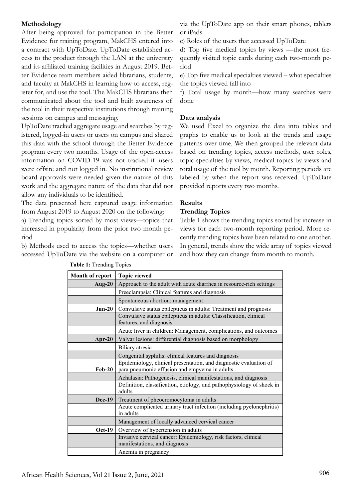### **Methodology**

After being approved for participation in the Better Evidence for training program, MakCHS entered into a contract with UpToDate. UpToDate established access to the product through the LAN at the university and its affiliated training facilities in August 2019. Better Evidence team members aided librarians, students, and faculty at MakCHS in learning how to access, register for, and use the tool. The MakCHS librarians then communicated about the tool and built awareness of the tool in their respective institutions through training sessions on campus and messaging.

UpToDate tracked aggregate usage and searches by registered, logged-in users or users on campus and shared this data with the school through the Better Evidence program every two months. Usage of the open-access information on COVID-19 was not tracked if users were offsite and not logged in. No institutional review board approvals were needed given the nature of this work and the aggregate nature of the data that did not allow any individuals to be identified.

The data presented here captured usage information from August 2019 to August 2020 on the following:

a) Trending topics sorted by most views—topics that increased in popularity from the prior two month period

b) Methods used to access the topics—whether users accessed UpToDate via the website on a computer or

via the UpToDate app on their smart phones, tablets or iPads

c) Roles of the users that accessed UpToDate

d) Top five medical topics by views —the most frequently visited topic cards during each two-month period

e) Top five medical specialties viewed – what specialties the topics viewed fall into

f) Total usage by month—how many searches were done

### **Data analysis**

We used Excel to organize the data into tables and graphs to enable us to look at the trends and usage patterns over time. We then grouped the relevant data based on trending topics, access methods, user roles, topic specialties by views, medical topics by views and total usage of the tool by month. Reporting periods are labeled by when the report was received. UpToDate provided reports every two months.

### **Results**

#### **Trending Topics**

Table 1 shows the trending topics sorted by increase in views for each two-month reporting period. More recently trending topics have been related to one another. In general, trends show the wide array of topics viewed and how they can change from month to month.

| Month of report | <b>Topic viewed</b>                                                                                                |
|-----------------|--------------------------------------------------------------------------------------------------------------------|
| Aug- $20$       | Approach to the adult with acute diarrhea in resource-rich settings                                                |
|                 | Preeclampsia: Clinical features and diagnosis                                                                      |
|                 | Spontaneous abortion: management                                                                                   |
| $Jun-20$        | Convulsive status epilepticus in adults: Treatment and prognosis                                                   |
|                 | Convulsive status epilepticus in adults: Classification, clinical<br>features, and diagnosis                       |
|                 | Acute liver in children: Management, complications, and outcomes                                                   |
| Apr-20          | Valvar lesions: differential diagnosis based on morphology                                                         |
|                 | Biliary atresia                                                                                                    |
|                 | Congenital syphilis: clinical features and diagnosis                                                               |
| $Feb-20$        | Epidemiology, clinical presentation, and diagnostic evaluation of<br>para pneumonic effusion and empyema in adults |
|                 | Achalasia: Pathogenesis, clinical manifestations, and diagnosis                                                    |
|                 | Definition, classification, etiology, and pathophysiology of shock in<br>adults                                    |
| <b>Dec-19</b>   | Treatment of pheocromocytoma in adults                                                                             |
|                 | Acute complicated urinary tract infection (including pyelonephritis)<br>in adults                                  |
|                 | Management of locally advanced cervical cancer                                                                     |
| <b>Oct-19</b>   | Overview of hypertension in adults                                                                                 |
|                 | Invasive cervical cancer: Epidemiology, risk factors, clinical<br>manifestations, and diagnosis                    |
|                 | Anemia in pregnancy                                                                                                |

**Table 1:** Trending Topics **Table 1:** Trending Topics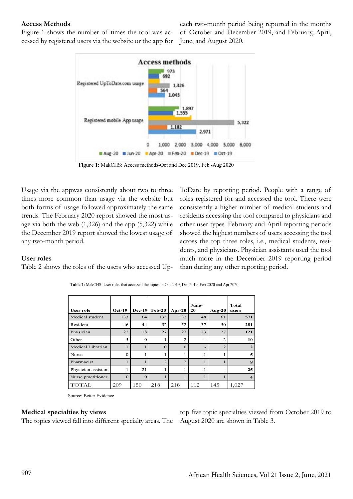#### **Access Methods**

Figure 1 shows the number of times the tool was accessed by registered users via the website or the app for

each two-month period being reported in the months of October and December 2019, and February, April, June, and August 2020.



**Figure 1:** MakCHS: Access methods-Oct and Dec 2019, Feb -Aug 2020

Usage via the appwas consistently about two to three times more common than usage via the website but both forms of usage followed approximately the same trends. The February 2020 report showed the most usage via both the web (1,326) and the app (5,322) while the December 2019 report showed the lowest usage of any two-month period.

ToDate by reporting period. People with a range of roles registered for and accessed the tool. There were consistently a higher number of medical students and residents accessing the tool compared to physicians and other user types. February and April reporting periods showed the highest numbers of users accessing the tool across the top three roles, i.e., medical students, residents, and physicians. Physician assistants used the tool much more in the December 2019 reporting period than during any other reporting period.

### **User roles**

Table 2 shows the roles of the users who accessed Up-

| <b>User role</b>    | $Oct-19$ | <b>Dec-19</b> | $Feb-20$       | $Apr-20$       | June-<br>20 | Aug- $20$      | Total<br>users          |
|---------------------|----------|---------------|----------------|----------------|-------------|----------------|-------------------------|
| Medical student     | 133      | 64            | 133            | 132            | 48          | 61             | 571                     |
| Resident            | 46       | 44            | 52             | 52             | 37          | 50             | 281                     |
| Physician           | 22       | 18            | 27             | 27             | 23          | 27             | 121                     |
| Other               | 5        | $\Omega$      |                | $\overline{2}$ | ۰           | $\overline{2}$ | 10                      |
| Medical Librarian   |          | $\mathbf{1}$  | $\Omega$       | $\Omega$       | -           | $\overline{2}$ | $\mathbf{2}$            |
| Nurse               | $\Omega$ | 1             |                |                |             |                | 5                       |
| Pharmacist          |          | 1             | $\overline{2}$ | $\overline{2}$ |             |                | 8                       |
| Physician assistant | 1        | 21            |                |                | 1           |                | 25                      |
| Nurse practitioner  | $\Omega$ | $\Omega$      |                | 1              |             |                | $\overline{\mathbf{4}}$ |
| TOTAL               | 209      | 150           | 218            | 218            | 112         | 145            | 1,027                   |

**Table 2:** MakCHS: User roles that accessed the topics in Oct 2019, Dec 2019, Feb 2020 and Apr 2020

Source: Better Evidence

#### **Medical specialties by views**

The topics viewed fall into different specialty areas. The

top five topic specialties viewed from October 2019 to August 2020 are shown in Table 3.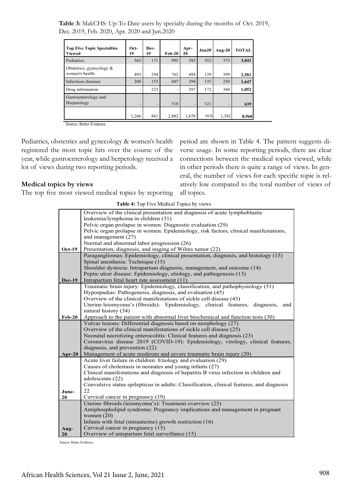**Table 3:** MakCHS: Up-To-Date users by specialty during the months of Oct. 2019, Dec. 2019, Feb. 2020, Apr. 2020 and Jun.2020

| <b>Top Five Topic Specialties</b><br><b>Viewed</b> | Oct-<br>19               | Dec-<br>19 | $Feb-20$ | Apr-<br>20               | Jun20 | Aug- $20$ | <b>TOTAL</b> |
|----------------------------------------------------|--------------------------|------------|----------|--------------------------|-------|-----------|--------------|
| Pediatrics                                         | 565                      | 171        | 995      | 585                      | 352   | 373       | 3,041        |
| Obstetrics, gynecology $\&$<br>women's health      | 493                      | 294        | 762      | 494                      | 139   | 399       | 2,581        |
| Infectious diseases                                | 208                      | 153        | 607      | 294                      | 135   | 250       | 1,647        |
| Drug information                                   | $\overline{\phantom{0}}$ | 223        |          | 297                      | 172   | 360       | 1,052        |
| Gastroenterology and<br>Herpetology                | $\overline{\phantom{a}}$ | -          | 518      | $\overline{\phantom{a}}$ | 121   | -         | 639          |
|                                                    | 1,266                    | 841        | 2,882    | 1,670                    | 919   | 1,382     | 8,960        |

Source: Better Evidence

Pediatrics, obstetrics and gynecology & women's health registered the most topic hits over the course of the year, while gastroenterology and herpetology received a lot of views during two reporting periods.

#### **Medical topics by views**

The top five most viewed medical topics by reporting

period are shown in Table 4. The pattern suggests diverse usage. In some reporting periods, there are clear connections between the medical topics viewed, while in other periods there is quite a range of views. In general, the number of views for each specific topic is relatively low compared to the total number of views of all topics.

|               | Overview of the clinical presentation and diagnosis of acute lymphoblastic                |  |  |  |
|---------------|-------------------------------------------------------------------------------------------|--|--|--|
|               | leukemia/lymphoma in children (31)                                                        |  |  |  |
|               | Pelvic organ prolapse in women: Diagnostic evaluation (29)                                |  |  |  |
|               | Pelvic organ prolapse in women: Epidemiology, risk factors, clinical manifestations,      |  |  |  |
|               | and management (27)                                                                       |  |  |  |
|               | Normal and abnormal labor progression (26)                                                |  |  |  |
| <b>Oct-19</b> | Presentation, diagnosis, and staging of Wilms tumor (22)                                  |  |  |  |
|               | Paragangliomas: Epidemiology, clinical presentation, diagnosis, and histology (15)        |  |  |  |
|               | Spinal anesthesia: Technique (15)                                                         |  |  |  |
|               | Shoulder dystocia: Intrapartum diagnosis, management, and outcome (14)                    |  |  |  |
|               | Peptic ulcer disease: Epidemiology, etiology, and pathogenesis (13)                       |  |  |  |
| <b>Dec-19</b> | Intrapartum fetal heart rate assessment (11)                                              |  |  |  |
|               | Traumatic brain injury: Epidemiology, classification, and pathophysiology (51)            |  |  |  |
|               | Hypospadias: Pathogenesis, diagnosis, and evaluation (45)                                 |  |  |  |
|               | Overview of the clinical manifestations of sickle cell disease (43)                       |  |  |  |
|               | Uterine leiomyoma's (fibroids): Epidemiology, clinical features, diagnosis,<br>and        |  |  |  |
|               | natural history (34)                                                                      |  |  |  |
| $Feb-20$      | Approach to the patient with abnormal liver biochemical and function tests (30)           |  |  |  |
|               | Vulvar lesions: Differential diagnosis based on morphology (27)                           |  |  |  |
|               | Overview of the clinical manifestations of sickle cell disease (25)                       |  |  |  |
|               | Neonatal necrotizing enterocolitis: Clinical features and diagnosis (23)                  |  |  |  |
|               | Coronavirus disease 2019 (COVID-19): Epidemiology, virology, clinical features,           |  |  |  |
|               | diagnosis, and prevention (22)                                                            |  |  |  |
| $Apr-20$      | Management of acute moderate and severe traumatic brain injury (20)                       |  |  |  |
|               | Acute liver failure in children: Etiology and evaluation (29)                             |  |  |  |
|               | Causes of cholestasis in neonates and young infants (27)                                  |  |  |  |
|               | Clinical manifestations and diagnosis of hepatitis B virus infection in children and      |  |  |  |
|               | adolescents (22)                                                                          |  |  |  |
|               | Convulsive status epilepticus in adults: Classification, clinical features, and diagnosis |  |  |  |
| June-         | 22                                                                                        |  |  |  |
| 20            | Cervical cancer in pregnancy (19)                                                         |  |  |  |

Antiphospholipid syndrome: Pregnancy implications and management in pregnant

Uterine fibroids (leiomyoma's): Treatment overview (25)

Infants with fetal (intrauterine) growth restriction (16)

Overview of antepartum fetal surveillance (15)

Cervical cancer in pregnancy (15)

**Table 4:** Top Five Medical Topics by views

Source: Better Evidence

**Aug-20**

women (20)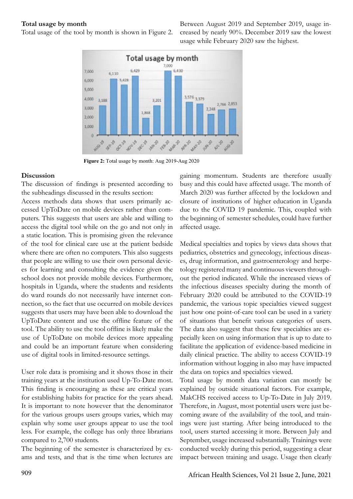#### **Total usage by month**

Total usage of the tool by month is shown in Figure 2.

Between August 2019 and September 2019, usage increased by nearly 90%. December 2019 saw the lowest usage while February 2020 saw the highest.



 **Figure 4:** Total usage by month: Aug 2019-Aug 2020 **Figure 2:** Total usage by month: Aug 2019-Aug 2020

#### **Discussion**

The discussion of findings is presented according to the subheadings discussed in the results section:

Access methods data shows that users primarily accessed UpToDate on mobile devices rather than computers. This suggests that users are able and willing to access the digital tool while on the go and not only in a static location. This is promising given the relevance of the tool for clinical care use at the patient bedside where there are often no computers. This also suggests that people are willing to use their own personal devices for learning and consulting the evidence given the school does not provide mobile devices. Furthermore, hospitals in Uganda, where the students and residents do ward rounds do not necessarily have internet connection, so the fact that use occurred on mobile devices suggests that users may have been able to download the UpToDate content and use the offline feature of the tool. The ability to use the tool offline is likely make the use of UpToDate on mobile devices more appealing and could be an important feature when considering use of digital tools in limited-resource settings.

User role data is promising and it shows those in their training years at the institution used Up-To-Date most. This finding is encouraging as these are critical years for establishing habits for practice for the years ahead. It is important to note however that the denominator for the various groups users groups varies, which may explain why some user groups appear to use the tool less. For example, the college has only three librarians compared to 2,700 students.

The beginning of the semester is characterized by exams and tests, and that is the time when lectures are gaining momentum. Students are therefore usually busy and this could have affected usage. The month of March 2020 was further affected by the lockdown and closure of institutions of higher education in Uganda due to the COVID 19 pandemic. This, coupled with the beginning of semester schedules, could have further affected usage.

Medical specialties and topics by views data shows that pediatrics, obstetrics and gynecology, infectious diseases, drug information, and gastroenterology and herpetology registered many and continuous viewers throughout the period indicated. While the increased views of the infectious diseases specialty during the month of February 2020 could be attributed to the COVID-19 pandemic, the various topic specialties viewed suggest just how one point-of-care tool can be used in a variety of situations that benefit various categories of users. The data also suggest that these few specialties are especially keen on using information that is up to date to facilitate the application of evidence-based medicine in daily clinical practice. The ability to access COVID-19 information without logging in also may have impacted the data on topics and specialties viewed.

Total usage by month data variation can mostly be explained by outside situational factors. For example, MakCHS received access to Up-To-Date in July 2019. Therefore, in August, most potential users were just becoming aware of the availability of the tool, and trainings were just starting. After being introduced to the tool, users started accessing it more. Between July and September, usage increased substantially. Trainings were conducted weekly during this period, suggesting a clear impact between training and usage. Usage then clearly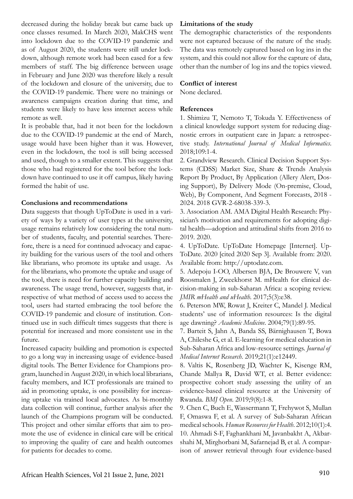decreased during the holiday break but came back up once classes resumed. In March 2020, MakCHS went into lockdown due to the COVID-19 pandemic and as of August 2020, the students were still under lockdown, although remote work had been eased for a few members of staff. The big difference between usage in February and June 2020 was therefore likely a result of the lockdown and closure of the university, due to the COVID-19 pandemic. There were no trainings or awareness campaigns creation during that time, and students were likely to have less internet access while remote as well.

It is probable that, had it not been for the lockdown due to the COVID-19 pandemic at the end of March, usage would have been higher than it was. However, even in the lockdown, the tool is still being accessed and used, though to a smaller extent. This suggests that those who had registered for the tool before the lockdown have continued to use it off campus, likely having formed the habit of use.

### **Conclusions and recommendations**

Data suggests that though UpToDate is used in a variety of ways by a variety of user types at the university, usage remains relatively low considering the total number of students, faculty, and potential searches. Therefore, there is a need for continued advocacy and capacity building for the various users of the tool and others like librarians, who promote its uptake and usage. As for the librarians, who promote the uptake and usage of the tool, there is need for further capacity building and awareness. The usage trend, however, suggests that, irrespective of what method of access used to access the tool, users had started embracing the tool before the COVID-19 pandemic and closure of institution. Continued use in such difficult times suggests that there is potential for increased and more consistent use in the future.

Increased capacity building and promotion is expected to go a long way in increasing usage of evidence-based digital tools. The Better Evidence for Champions program, launched in August 2020, in which local librarians, faculty members, and ICT professionals are trained to aid in promoting uptake, is one possibility for increasing uptake via trained local advocates. As bi-monthly data collection will continue, further analysis after the launch of the Champions program will be conducted. This project and other similar efforts that aim to promote the use of evidence in clinical care will be critical to improving the quality of care and health outcomes for patients for decades to come.

#### **Limitations of the study**

The demographic characteristics of the respondents were not captured because of the nature of the study. The data was remotely captured based on log ins in the system, and this could not allow for the capture of data, other than the number of log ins and the topics viewed.

#### **Conflict of interest**

None declared.

#### **References**

1. Shimizu T, Nemoto T, Tokuda Y. Effectiveness of a clinical knowledge support system for reducing diagnostic errors in outpatient care in Japan: a retrospective study. *International Journal of Medical Informatics*. 2018;109:1-4.

2. Grandview Research. Clinical Decision Support Systems (CDSS) Market Size, Share & Trends Analysis Report By Product, By Application (Allery Alert, Dosing Support), By Delivery Mode (On-premise, Cloud, Web), By Component, And Segment Forecasts, 2018 - 2024. 2018 GVR-2-68038-339-3.

3. Association AM. AMA Digital Health Research: Physician's motivation and requirements for adopting digital health—adoption and attitudinal shifts from 2016 to 2019. 2020.

4. UpToDate. UpToDate Homepage [Internet]. Up-ToDate. 2020 [cited 2020 Sep 3]. Available from: 2020. Available from: http://uptodate.com.

5. Adepoju I-OO, Albersen BJA, De Brouwere V, van Roosmalen J, Zweekhorst M. mHealth for clinical decision-making in sub-Saharan Africa: a scoping review. *JMIR mHealth and uHealth*. 2017;5(3):e38.

6. Peterson MW, Rowat J, Kreiter C, Mandel J. Medical students' use of information resources: Is the digital age dawning? *Academic Medicine*. 2004;79(1):89-95.

7. Barteit S, Jahn A, Banda SS, Bärnighausen T, Bowa A, Chileshe G, et al. E-learning for medical education in Sub-Saharan Africa and low-resource settings. *Journal of Medical Internet Research*. 2019;21(1):e12449.

8. Valtis K, Rosenberg JD, Wachter K, Kisenge RM, Chande Mallya R, David WT, et al. Better evidence: prospective cohort study assessing the utility of an evidence-based clinical resource at the University of Rwanda. *BMJ Open*. 2019;9(8):1-8.

9. Chen C, Buch E, Wassermann T, Frehywot S, Mullan F, Omaswa F, et al. A survey of Sub-Saharan African medical schools. *Human Resources for Health*. 2012;10(1):4. 10. Ahmadi S-F, Faghankhani M, Javanbakht A, Akbarshahi M, Mirghorbani M, Safarnejad B, et al. A comparison of answer retrieval through four evidence-based